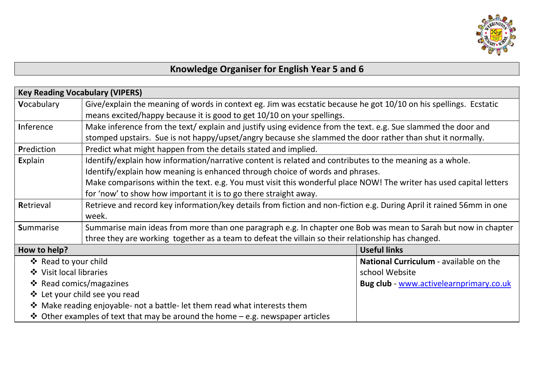

## **Knowledge Organiser for English Year 5 and 6**

| <b>Key Reading Vocabulary (VIPERS)</b>                                                                              |                                                                                                                      |                                               |  |  |  |
|---------------------------------------------------------------------------------------------------------------------|----------------------------------------------------------------------------------------------------------------------|-----------------------------------------------|--|--|--|
| Vocabulary                                                                                                          | Give/explain the meaning of words in context eg. Jim was ecstatic because he got 10/10 on his spellings. Ecstatic    |                                               |  |  |  |
|                                                                                                                     | means excited/happy because it is good to get 10/10 on your spellings.                                               |                                               |  |  |  |
| <b>Inference</b>                                                                                                    | Make inference from the text/ explain and justify using evidence from the text. e.g. Sue slammed the door and        |                                               |  |  |  |
|                                                                                                                     | stomped upstairs. Sue is not happy/upset/angry because she slammed the door rather than shut it normally.            |                                               |  |  |  |
| Prediction                                                                                                          | Predict what might happen from the details stated and implied.                                                       |                                               |  |  |  |
| Explain                                                                                                             | Identify/explain how information/narrative content is related and contributes to the meaning as a whole.             |                                               |  |  |  |
|                                                                                                                     | Identify/explain how meaning is enhanced through choice of words and phrases.                                        |                                               |  |  |  |
| Make comparisons within the text. e.g. You must visit this wonderful place NOW! The writer has used capital letters |                                                                                                                      |                                               |  |  |  |
| for 'now' to show how important it is to go there straight away.                                                    |                                                                                                                      |                                               |  |  |  |
| Retrieval                                                                                                           | Retrieve and record key information/key details from fiction and non-fiction e.g. During April it rained 56mm in one |                                               |  |  |  |
|                                                                                                                     | week.                                                                                                                |                                               |  |  |  |
| <b>Summarise</b>                                                                                                    | Summarise main ideas from more than one paragraph e.g. In chapter one Bob was mean to Sarah but now in chapter       |                                               |  |  |  |
| three they are working together as a team to defeat the villain so their relationship has changed.                  |                                                                                                                      |                                               |  |  |  |
| How to help?                                                                                                        |                                                                                                                      | <b>Useful links</b>                           |  |  |  |
| ❖ Read to your child                                                                                                |                                                                                                                      | <b>National Curriculum - available on the</b> |  |  |  |
| ❖ Visit local libraries                                                                                             |                                                                                                                      | school Website                                |  |  |  |
| ❖ Read comics/magazines                                                                                             |                                                                                                                      | Bug club - www.activelearnprimary.co.uk       |  |  |  |
| ❖ Let your child see you read                                                                                       |                                                                                                                      |                                               |  |  |  |
|                                                                                                                     | ❖ Make reading enjoyable- not a battle- let them read what interests them                                            |                                               |  |  |  |
| <b>↓</b> Other examples of text that may be around the home – e.g. newspaper articles                               |                                                                                                                      |                                               |  |  |  |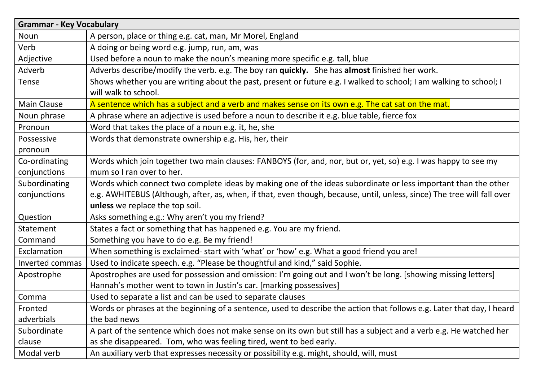| <b>Grammar - Key Vocabulary</b> |                                                                                                                         |  |  |  |
|---------------------------------|-------------------------------------------------------------------------------------------------------------------------|--|--|--|
| Noun                            | A person, place or thing e.g. cat, man, Mr Morel, England                                                               |  |  |  |
| Verb                            | A doing or being word e.g. jump, run, am, was                                                                           |  |  |  |
| Adjective                       | Used before a noun to make the noun's meaning more specific e.g. tall, blue                                             |  |  |  |
| Adverb                          | Adverbs describe/modify the verb. e.g. The boy ran quickly. She has almost finished her work.                           |  |  |  |
| Tense                           | Shows whether you are writing about the past, present or future e.g. I walked to school; I am walking to school; I      |  |  |  |
|                                 | will walk to school.                                                                                                    |  |  |  |
| <b>Main Clause</b>              | A sentence which has a subject and a verb and makes sense on its own e.g. The cat sat on the mat.                       |  |  |  |
| Noun phrase                     | A phrase where an adjective is used before a noun to describe it e.g. blue table, fierce fox                            |  |  |  |
| Pronoun                         | Word that takes the place of a noun e.g. it, he, she                                                                    |  |  |  |
| Possessive                      | Words that demonstrate ownership e.g. His, her, their                                                                   |  |  |  |
| pronoun                         |                                                                                                                         |  |  |  |
| Co-ordinating                   | Words which join together two main clauses: FANBOYS (for, and, nor, but or, yet, so) e.g. I was happy to see my         |  |  |  |
| conjunctions                    | mum so I ran over to her.                                                                                               |  |  |  |
| Subordinating                   | Words which connect two complete ideas by making one of the ideas subordinate or less important than the other          |  |  |  |
| conjunctions                    | e.g. AWHITEBUS (Although, after, as, when, if that, even though, because, until, unless, since) The tree will fall over |  |  |  |
|                                 | unless we replace the top soil.                                                                                         |  |  |  |
| Question                        | Asks something e.g.: Why aren't you my friend?                                                                          |  |  |  |
| Statement                       | States a fact or something that has happened e.g. You are my friend.                                                    |  |  |  |
| Command                         | Something you have to do e.g. Be my friend!                                                                             |  |  |  |
| Exclamation                     | When something is exclaimed-start with 'what' or 'how' e.g. What a good friend you are!                                 |  |  |  |
| Inverted commas                 | Used to indicate speech. e.g. "Please be thoughtful and kind," said Sophie.                                             |  |  |  |
| Apostrophe                      | Apostrophes are used for possession and omission: I'm going out and I won't be long. [showing missing letters]          |  |  |  |
|                                 | Hannah's mother went to town in Justin's car. [marking possessives]                                                     |  |  |  |
| Comma                           | Used to separate a list and can be used to separate clauses                                                             |  |  |  |
| Fronted                         | Words or phrases at the beginning of a sentence, used to describe the action that follows e.g. Later that day, I heard  |  |  |  |
| adverbials                      | the bad news                                                                                                            |  |  |  |
| Subordinate                     | A part of the sentence which does not make sense on its own but still has a subject and a verb e.g. He watched her      |  |  |  |
| clause                          | as she disappeared. Tom, who was feeling tired, went to bed early.                                                      |  |  |  |
| Modal verb                      | An auxiliary verb that expresses necessity or possibility e.g. might, should, will, must                                |  |  |  |